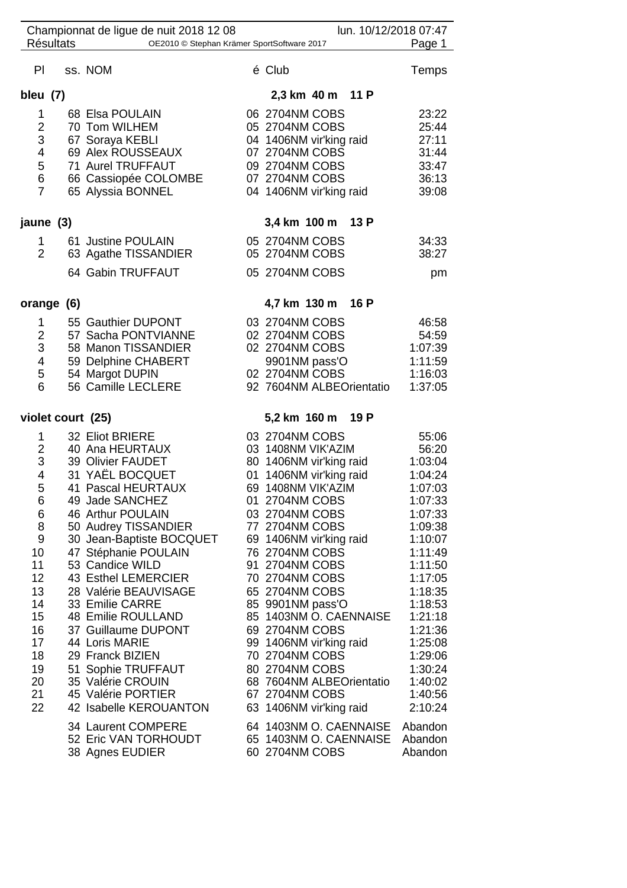| lun. 10/12/2018 07:47<br>Championnat de ligue de nuit 2018 12 08         |                   |                          |                      |                          |         |  |  |  |  |
|--------------------------------------------------------------------------|-------------------|--------------------------|----------------------|--------------------------|---------|--|--|--|--|
| <b>Résultats</b><br>OE2010 © Stephan Krämer SportSoftware 2017<br>Page 1 |                   |                          |                      |                          |         |  |  |  |  |
| PI                                                                       |                   | ss. NOM                  |                      | é Club                   | Temps   |  |  |  |  |
| bleu (7)                                                                 |                   |                          |                      | 2,3 km 40 m 11 P         |         |  |  |  |  |
| 1                                                                        |                   | 68 Elsa POULAIN          |                      | 06 2704NM COBS           | 23:22   |  |  |  |  |
| $\overline{2}$                                                           |                   | 70 Tom WILHEM            |                      | 05 2704NM COBS           | 25:44   |  |  |  |  |
| 3                                                                        |                   | 67 Soraya KEBLI          |                      | 04 1406NM vir'king raid  | 27:11   |  |  |  |  |
| 4                                                                        |                   | 69 Alex ROUSSEAUX        |                      | 07 2704NM COBS           | 31:44   |  |  |  |  |
| 5                                                                        |                   | 71 Aurel TRUFFAUT        |                      | 09 2704NM COBS           | 33:47   |  |  |  |  |
| 6                                                                        |                   | 66 Cassiopée COLOMBE     |                      | 07 2704NM COBS           | 36:13   |  |  |  |  |
| $\overline{7}$                                                           |                   | 65 Alyssia BONNEL        |                      | 04 1406NM vir'king raid  | 39:08   |  |  |  |  |
| jaune (3)                                                                |                   |                          | 3,4 km 100 m<br>13 P |                          |         |  |  |  |  |
| 1                                                                        |                   | 61 Justine POULAIN       |                      | 05 2704NM COBS           | 34:33   |  |  |  |  |
| $\overline{2}$                                                           |                   | 63 Agathe TISSANDIER     |                      | 05 2704NM COBS           | 38:27   |  |  |  |  |
|                                                                          |                   |                          |                      |                          |         |  |  |  |  |
|                                                                          |                   | 64 Gabin TRUFFAUT        |                      | 05 2704NM COBS           | pm      |  |  |  |  |
|                                                                          | orange (6)        |                          |                      | 4,7 km 130 m<br>16 P     |         |  |  |  |  |
| 1                                                                        |                   | 55 Gauthier DUPONT       |                      | 03 2704NM COBS           | 46:58   |  |  |  |  |
| 2                                                                        |                   | 57 Sacha PONTVIANNE      |                      | 02 2704NM COBS           | 54:59   |  |  |  |  |
| 3                                                                        |                   | 58 Manon TISSANDIER      |                      | 02 2704NM COBS           | 1:07:39 |  |  |  |  |
| 4                                                                        |                   | 59 Delphine CHABERT      |                      | 9901NM pass'O            | 1:11:59 |  |  |  |  |
| 5                                                                        |                   | 54 Margot DUPIN          |                      | 02 2704NM COBS           | 1:16:03 |  |  |  |  |
| 6                                                                        |                   | 56 Camille LECLERE       |                      | 92 7604NM ALBEOrientatio | 1:37:05 |  |  |  |  |
|                                                                          | violet court (25) |                          | 5,2 km 160 m<br>19 P |                          |         |  |  |  |  |
| 1                                                                        |                   | 32 Eliot BRIERE          |                      | 03 2704NM COBS           | 55:06   |  |  |  |  |
| $\overline{c}$                                                           |                   | 40 Ana HEURTAUX          |                      | 03 1408NM VIK'AZIM       | 56:20   |  |  |  |  |
| 3                                                                        |                   | 39 Olivier FAUDET        |                      | 80 1406NM vir'king raid  | 1:03:04 |  |  |  |  |
| 4                                                                        |                   | 31 YAËL BOCQUET          | 01                   | 1406NM vir'king raid     | 1:04:24 |  |  |  |  |
| 5                                                                        |                   | 41 Pascal HEURTAUX       |                      | 69 1408NM VIK'AZIM       | 1:07:03 |  |  |  |  |
| 6                                                                        |                   | 49 Jade SANCHEZ          |                      | 01 2704NM COBS           | 1:07:33 |  |  |  |  |
| 6                                                                        |                   | 46 Arthur POULAIN        |                      | 03 2704NM COBS           | 1:07:33 |  |  |  |  |
| 8                                                                        |                   | 50 Audrey TISSANDIER     |                      | 77 2704NM COBS           | 1:09:38 |  |  |  |  |
| 9                                                                        |                   | 30 Jean-Baptiste BOCQUET |                      | 69 1406NM vir'king raid  | 1:10:07 |  |  |  |  |
| 10                                                                       |                   | 47 Stéphanie POULAIN     |                      | 76 2704NM COBS           | 1:11:49 |  |  |  |  |
| 11                                                                       |                   | 53 Candice WILD          |                      | 91 2704NM COBS           | 1:11:50 |  |  |  |  |
| 12                                                                       |                   | 43 Esthel LEMERCIER      |                      | 70 2704NM COBS           | 1:17:05 |  |  |  |  |
| 13                                                                       |                   | 28 Valérie BEAUVISAGE    |                      | 65 2704NM COBS           | 1:18:35 |  |  |  |  |
| 14                                                                       |                   | 33 Emilie CARRE          |                      | 85 9901NM pass'O         | 1:18:53 |  |  |  |  |
| 15                                                                       |                   | 48 Emilie ROULLAND       |                      | 85 1403NM O. CAENNAISE   | 1:21:18 |  |  |  |  |
| 16                                                                       |                   | 37 Guillaume DUPONT      |                      | 69 2704NM COBS           | 1:21:36 |  |  |  |  |
| 17                                                                       |                   | 44 Loris MARIE           |                      | 99 1406NM vir'king raid  | 1:25:08 |  |  |  |  |
| 18                                                                       |                   | 29 Franck BIZIEN         |                      | 70 2704NM COBS           | 1:29:06 |  |  |  |  |
| 19                                                                       |                   | 51 Sophie TRUFFAUT       |                      | 80 2704NM COBS           | 1:30:24 |  |  |  |  |
| 20                                                                       |                   | 35 Valérie CROUIN        |                      | 68 7604NM ALBEOrientatio | 1:40:02 |  |  |  |  |
| 21                                                                       |                   | 45 Valérie PORTIER       |                      | 67 2704NM COBS           | 1:40:56 |  |  |  |  |
| 22                                                                       |                   | 42 Isabelle KEROUANTON   |                      | 63 1406NM vir'king raid  | 2:10:24 |  |  |  |  |
|                                                                          |                   |                          |                      |                          |         |  |  |  |  |
|                                                                          |                   | 34 Laurent COMPERE       |                      | 64 1403NM O. CAENNAISE   | Abandon |  |  |  |  |
|                                                                          |                   | 52 Eric VAN TORHOUDT     |                      | 65 1403NM O. CAENNAISE   | Abandon |  |  |  |  |
|                                                                          |                   | 38 Agnes EUDIER          |                      | 60 2704NM COBS           | Abandon |  |  |  |  |